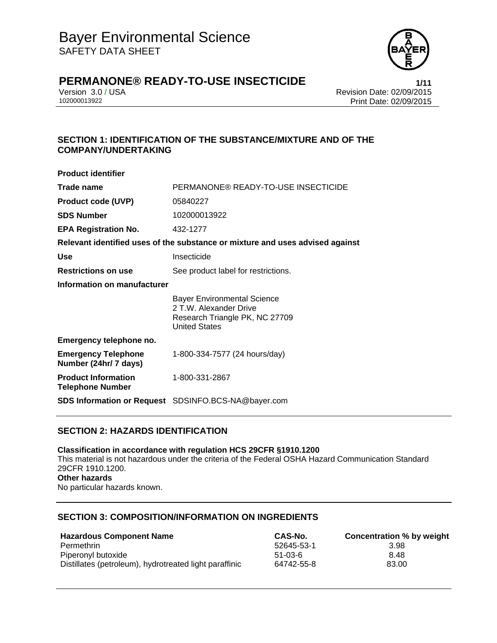

Version 3.0 / USA Revision Date: 02/09/2015 Print Date: 02/09/2015

## **SECTION 1: IDENTIFICATION OF THE SUBSTANCE/MIXTURE AND OF THE COMPANY/UNDERTAKING**

| PERMANONE® READY-TO-USE INSECTICIDE                                                                                    |
|------------------------------------------------------------------------------------------------------------------------|
| 05840227                                                                                                               |
| 102000013922                                                                                                           |
| 432-1277                                                                                                               |
| Relevant identified uses of the substance or mixture and uses advised against                                          |
| Insecticide                                                                                                            |
| See product label for restrictions.                                                                                    |
| Information on manufacturer                                                                                            |
| <b>Bayer Environmental Science</b><br>2 T.W. Alexander Drive<br>Research Triangle PK, NC 27709<br><b>United States</b> |
|                                                                                                                        |
| 1-800-334-7577 (24 hours/day)                                                                                          |
| 1-800-331-2867                                                                                                         |
| <b>SDS Information or Request</b> SDSINFO.BCS-NA@bayer.com                                                             |
|                                                                                                                        |

## **SECTION 2: HAZARDS IDENTIFICATION**

**Classification in accordance with regulation HCS 29CFR §1910.1200**  This material is not hazardous under the criteria of the Federal OSHA Hazard Communication Standard 29CFR 1910.1200. **Other hazards**  No particular hazards known.

## **SECTION 3: COMPOSITION/INFORMATION ON INGREDIENTS**

| <b>Hazardous Component Name</b>                        | CAS-No.    | Concentration % by weight |
|--------------------------------------------------------|------------|---------------------------|
| Permethrin                                             | 52645-53-1 | 3.98                      |
| Piperonyl butoxide                                     | $51-03-6$  | 8.48                      |
| Distillates (petroleum), hydrotreated light paraffinic | 64742-55-8 | 83.00                     |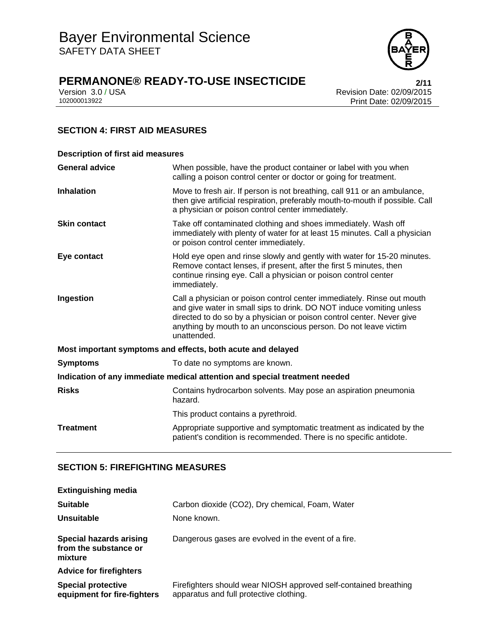

Version 3.0 / USA Revision Date: 02/09/2015<br>102000013922 Print Date: 02/09/2015 Print Date: 02/09/2015

## **SECTION 4: FIRST AID MEASURES**

| <b>Description of first aid measures</b>                                   |                                                                                                                                                                                                                                                                                                           |  |
|----------------------------------------------------------------------------|-----------------------------------------------------------------------------------------------------------------------------------------------------------------------------------------------------------------------------------------------------------------------------------------------------------|--|
| <b>General advice</b>                                                      | When possible, have the product container or label with you when<br>calling a poison control center or doctor or going for treatment.                                                                                                                                                                     |  |
| <b>Inhalation</b>                                                          | Move to fresh air. If person is not breathing, call 911 or an ambulance,<br>then give artificial respiration, preferably mouth-to-mouth if possible. Call<br>a physician or poison control center immediately.                                                                                            |  |
| <b>Skin contact</b>                                                        | Take off contaminated clothing and shoes immediately. Wash off<br>immediately with plenty of water for at least 15 minutes. Call a physician<br>or poison control center immediately.                                                                                                                     |  |
| Eye contact                                                                | Hold eye open and rinse slowly and gently with water for 15-20 minutes.<br>Remove contact lenses, if present, after the first 5 minutes, then<br>continue rinsing eye. Call a physician or poison control center<br>immediately.                                                                          |  |
| Ingestion                                                                  | Call a physician or poison control center immediately. Rinse out mouth<br>and give water in small sips to drink. DO NOT induce vomiting unless<br>directed to do so by a physician or poison control center. Never give<br>anything by mouth to an unconscious person. Do not leave victim<br>unattended. |  |
| Most important symptoms and effects, both acute and delayed                |                                                                                                                                                                                                                                                                                                           |  |
| <b>Symptoms</b>                                                            | To date no symptoms are known.                                                                                                                                                                                                                                                                            |  |
| Indication of any immediate medical attention and special treatment needed |                                                                                                                                                                                                                                                                                                           |  |
| <b>Risks</b>                                                               | Contains hydrocarbon solvents. May pose an aspiration pneumonia<br>hazard.                                                                                                                                                                                                                                |  |
|                                                                            | This product contains a pyrethroid.                                                                                                                                                                                                                                                                       |  |
| <b>Treatment</b>                                                           | Appropriate supportive and symptomatic treatment as indicated by the<br>patient's condition is recommended. There is no specific antidote.                                                                                                                                                                |  |

## **SECTION 5: FIREFIGHTING MEASURES**

| <b>Extinguishing media</b>                                  |                                                                                                             |
|-------------------------------------------------------------|-------------------------------------------------------------------------------------------------------------|
| <b>Suitable</b>                                             | Carbon dioxide (CO2), Dry chemical, Foam, Water                                                             |
| Unsuitable                                                  | None known.                                                                                                 |
| Special hazards arising<br>from the substance or<br>mixture | Dangerous gases are evolved in the event of a fire.                                                         |
| <b>Advice for firefighters</b>                              |                                                                                                             |
| <b>Special protective</b><br>equipment for fire-fighters    | Firefighters should wear NIOSH approved self-contained breathing<br>apparatus and full protective clothing. |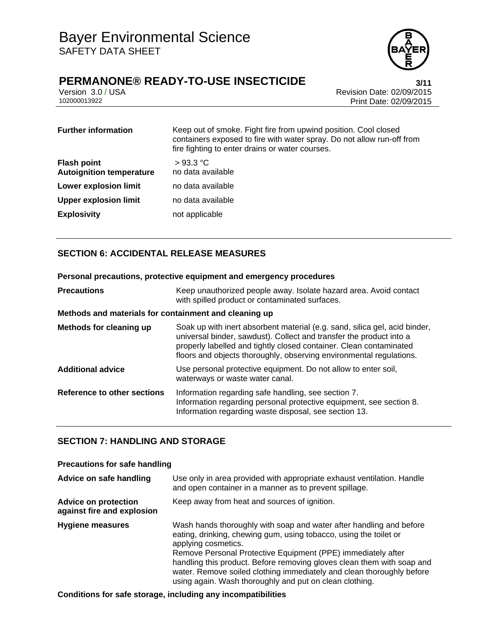

## **PERMANONE® READY-TO-USE INSECTICIDE 3/11**

Version 3.0 / USA Revision Date: 02/09/2015 Print Date: 02/09/2015

| <b>Further information</b>                            | Keep out of smoke. Fight fire from upwind position. Cool closed<br>containers exposed to fire with water spray. Do not allow run-off from<br>fire fighting to enter drains or water courses. |
|-------------------------------------------------------|----------------------------------------------------------------------------------------------------------------------------------------------------------------------------------------------|
| <b>Flash point</b><br><b>Autoignition temperature</b> | >93.3 °C<br>no data available                                                                                                                                                                |
| <b>Lower explosion limit</b>                          | no data available                                                                                                                                                                            |
| <b>Upper explosion limit</b>                          | no data available                                                                                                                                                                            |
| <b>Explosivity</b>                                    | not applicable                                                                                                                                                                               |

## **SECTION 6: ACCIDENTAL RELEASE MEASURES**

#### **Personal precautions, protective equipment and emergency procedures**

| <b>Precautions</b>                                    | Keep unauthorized people away. Isolate hazard area. Avoid contact<br>with spilled product or contaminated surfaces.                                                                                                                                                                            |
|-------------------------------------------------------|------------------------------------------------------------------------------------------------------------------------------------------------------------------------------------------------------------------------------------------------------------------------------------------------|
| Methods and materials for containment and cleaning up |                                                                                                                                                                                                                                                                                                |
| Methods for cleaning up                               | Soak up with inert absorbent material (e.g. sand, silica gel, acid binder,<br>universal binder, sawdust). Collect and transfer the product into a<br>properly labelled and tightly closed container. Clean contaminated<br>floors and objects thoroughly, observing environmental regulations. |
| <b>Additional advice</b>                              | Use personal protective equipment. Do not allow to enter soil,<br>waterways or waste water canal.                                                                                                                                                                                              |
| Reference to other sections                           | Information regarding safe handling, see section 7.<br>Information regarding personal protective equipment, see section 8.<br>Information regarding waste disposal, see section 13.                                                                                                            |

#### **SECTION 7: HANDLING AND STORAGE**

#### **Precautions for safe handling Advice on safe handling** Use only in area provided with appropriate exhaust ventilation. Handle and open container in a manner as to prevent spillage. **Advice on protection against fire and explosion** Keep away from heat and sources of ignition. **Hygiene measures** Wash hands thoroughly with soap and water after handling and before eating, drinking, chewing gum, using tobacco, using the toilet or applying cosmetics. Remove Personal Protective Equipment (PPE) immediately after handling this product. Before removing gloves clean them with soap and water. Remove soiled clothing immediately and clean thoroughly before using again. Wash thoroughly and put on clean clothing.

**Conditions for safe storage, including any incompatibilities**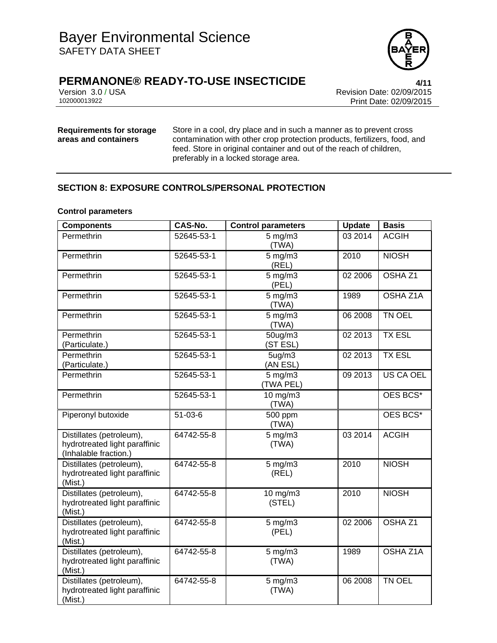

Version 3.0 / USA Revision Date: 02/09/2015<br>102000013922 Print Date: 02/09/2015 Print Date: 02/09/2015

## **Requirements for storage areas and containers**

Store in a cool, dry place and in such a manner as to prevent cross contamination with other crop protection products, fertilizers, food, and feed. Store in original container and out of the reach of children, preferably in a locked storage area.

## **SECTION 8: EXPOSURE CONTROLS/PERSONAL PROTECTION**

#### **Control parameters**

| <b>Components</b>                                                                  | <b>CAS-No.</b> | <b>Control parameters</b>       | <b>Update</b> | <b>Basis</b>       |
|------------------------------------------------------------------------------------|----------------|---------------------------------|---------------|--------------------|
| Permethrin                                                                         | 52645-53-1     | $5$ mg/m $3$<br>(TWA)           | 03 2014       | <b>ACGIH</b>       |
| Permethrin                                                                         | 52645-53-1     | $5$ mg/m $3$<br>(REL)           | 2010          | <b>NIOSH</b>       |
| Permethrin                                                                         | 52645-53-1     | $5$ mg/m $3$<br>(PEL)           | 02 2006       | OSHA <sub>Z1</sub> |
| Permethrin                                                                         | 52645-53-1     | $5 \text{ mg/m}$ 3<br>(TWA)     | 1989          | OSHA Z1A           |
| Permethrin                                                                         | 52645-53-1     | $5 \text{ mg/m}$<br>(TWA)       | 06 2008       | TN OEL             |
| Permethrin<br>(Particulate.)                                                       | 52645-53-1     | $50$ ug/m $3$<br>(ST ESL)       | 02 2013       | <b>TX ESL</b>      |
| Permethrin<br>(Particulate.)                                                       | 52645-53-1     | 5 <sub>ug</sub> /m3<br>(AN ESL) | 02 2013       | <b>TX ESL</b>      |
| Permethrin                                                                         | 52645-53-1     | $5$ mg/m $3$<br>(TWA PEL)       | 09 2013       | US CA OEL          |
| Permethrin                                                                         | 52645-53-1     | 10 mg/m3<br>(TWA)               |               | OES BCS*           |
| Piperonyl butoxide                                                                 | $51 - 03 - 6$  | 500 ppm<br>(TWA)                |               | OES BCS*           |
| Distillates (petroleum),<br>hydrotreated light paraffinic<br>(Inhalable fraction.) | 64742-55-8     | $5$ mg/m $3$<br>(TWA)           | 03 2014       | <b>ACGIH</b>       |
| Distillates (petroleum),<br>hydrotreated light paraffinic<br>(Mist.)               | 64742-55-8     | $5$ mg/m $3$<br>(REL)           | 2010          | <b>NIOSH</b>       |
| Distillates (petroleum),<br>hydrotreated light paraffinic<br>(Mist.)               | 64742-55-8     | $10$ mg/m $3$<br>(STEL)         | 2010          | <b>NIOSH</b>       |
| Distillates (petroleum),<br>hydrotreated light paraffinic<br>(Mist.)               | 64742-55-8     | $5$ mg/m $3$<br>(PEL)           | 02 2006       | OSHA <sub>Z1</sub> |
| Distillates (petroleum),<br>hydrotreated light paraffinic<br>(Mist.)               | 64742-55-8     | $5$ mg/m $3$<br>(TWA)           | 1989          | OSHA Z1A           |
| Distillates (petroleum),<br>hydrotreated light paraffinic<br>(Mist.)               | 64742-55-8     | $5 \text{ mg/m}$<br>(TWA)       | 06 2008       | TN OEL             |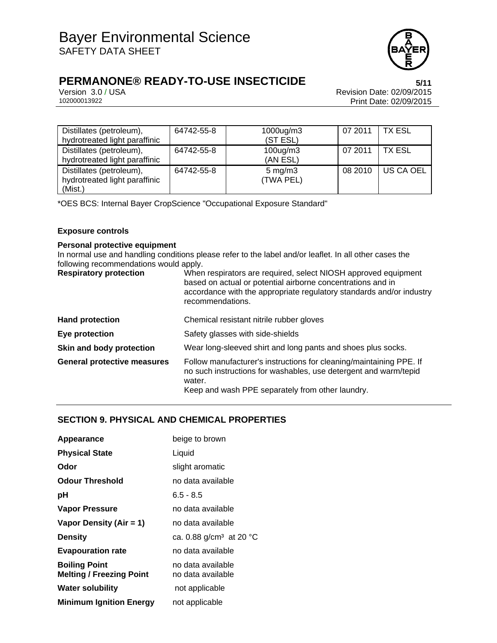

Version 3.0 / USA Revision Date: 02/09/2015<br>102000013922 Print Date: 02/09/2015 Print Date: 02/09/2015

| Distillates (petroleum),<br>hydrotreated light paraffinic            | 64742-55-8 | 1000ug/m3<br>(ST ESL)           | 07 2011 | TX ESL        |
|----------------------------------------------------------------------|------------|---------------------------------|---------|---------------|
| Distillates (petroleum),<br>hydrotreated light paraffinic            | 64742-55-8 | $100$ ug/m $3$<br>(AN ESL)      | 07 2011 | <b>TX ESL</b> |
| Distillates (petroleum),<br>hydrotreated light paraffinic<br>(Mist.) | 64742-55-8 | $5 \text{ mg/m}$ 3<br>(TWA PEL) | 08 2010 | US CA OEL     |

\*OES BCS: Internal Bayer CropScience "Occupational Exposure Standard"

#### **Exposure controls**

#### **Personal protective equipment**

In normal use and handling conditions please refer to the label and/or leaflet. In all other cases the following recommendations would apply.

| <b>Respiratory protection</b>      | When respirators are required, select NIOSH approved equipment<br>based on actual or potential airborne concentrations and in<br>accordance with the appropriate regulatory standards and/or industry<br>recommendations. |
|------------------------------------|---------------------------------------------------------------------------------------------------------------------------------------------------------------------------------------------------------------------------|
| <b>Hand protection</b>             | Chemical resistant nitrile rubber gloves                                                                                                                                                                                  |
| Eye protection                     | Safety glasses with side-shields                                                                                                                                                                                          |
| Skin and body protection           | Wear long-sleeved shirt and long pants and shoes plus socks.                                                                                                                                                              |
| <b>General protective measures</b> | Follow manufacturer's instructions for cleaning/maintaining PPE. If<br>no such instructions for washables, use detergent and warm/tepid<br>water.<br>Keep and wash PPE separately from other laundry.                     |

### **SECTION 9. PHYSICAL AND CHEMICAL PROPERTIES**

| Appearance                                              | beige to brown                         |
|---------------------------------------------------------|----------------------------------------|
| <b>Physical State</b>                                   | Liquid                                 |
| Odor                                                    | slight aromatic                        |
| <b>Odour Threshold</b>                                  | no data available                      |
| рH                                                      | $6.5 - 8.5$                            |
| <b>Vapor Pressure</b>                                   | no data available                      |
| Vapor Density (Air = 1)                                 | no data available                      |
| <b>Density</b>                                          | ca. 0.88 $g/cm^3$ at 20 °C             |
| <b>Evapouration rate</b>                                | no data available                      |
| <b>Boiling Point</b><br><b>Melting / Freezing Point</b> | no data available<br>no data available |
| <b>Water solubility</b>                                 | not applicable                         |
| <b>Minimum Ignition Energy</b>                          | not applicable                         |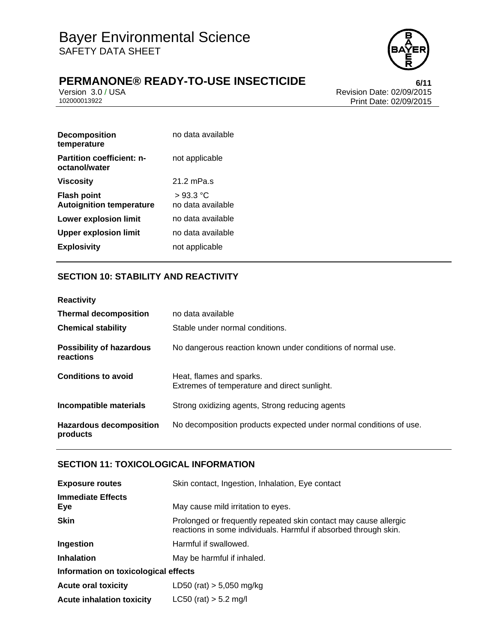

Version 3.0 / USA Revision Date: 02/09/2015<br>102000013922 Print Date: 02/09/2015 Print Date: 02/09/2015

| <b>Decomposition</b><br>temperature                   | no data available             |
|-------------------------------------------------------|-------------------------------|
| <b>Partition coefficient: n-</b><br>octanol/water     | not applicable                |
| <b>Viscosity</b>                                      | $21.2$ mPa.s                  |
| <b>Flash point</b><br><b>Autoignition temperature</b> | >93.3 °C<br>no data available |
| Lower explosion limit                                 | no data available             |
| <b>Upper explosion limit</b>                          | no data available             |
| <b>Explosivity</b>                                    | not applicable                |

## **SECTION 10: STABILITY AND REACTIVITY**

| <b>Reactivity</b>                            |                                                                          |
|----------------------------------------------|--------------------------------------------------------------------------|
| <b>Thermal decomposition</b>                 | no data available                                                        |
| <b>Chemical stability</b>                    | Stable under normal conditions.                                          |
| <b>Possibility of hazardous</b><br>reactions | No dangerous reaction known under conditions of normal use.              |
| <b>Conditions to avoid</b>                   | Heat, flames and sparks.<br>Extremes of temperature and direct sunlight. |
| Incompatible materials                       | Strong oxidizing agents, Strong reducing agents                          |
| <b>Hazardous decomposition</b><br>products   | No decomposition products expected under normal conditions of use.       |

### **SECTION 11: TOXICOLOGICAL INFORMATION**

| <b>Exposure routes</b>               | Skin contact, Ingestion, Inhalation, Eye contact                                                                                     |  |
|--------------------------------------|--------------------------------------------------------------------------------------------------------------------------------------|--|
| <b>Immediate Effects</b><br>Eye      | May cause mild irritation to eyes.                                                                                                   |  |
| <b>Skin</b>                          | Prolonged or frequently repeated skin contact may cause allergic<br>reactions in some individuals. Harmful if absorbed through skin. |  |
| Ingestion                            | Harmful if swallowed.                                                                                                                |  |
| <b>Inhalation</b>                    | May be harmful if inhaled.                                                                                                           |  |
| Information on toxicological effects |                                                                                                                                      |  |
| <b>Acute oral toxicity</b>           | LD50 (rat) $> 5,050$ mg/kg                                                                                                           |  |
| <b>Acute inhalation toxicity</b>     | $LC50$ (rat) $> 5.2$ mg/l                                                                                                            |  |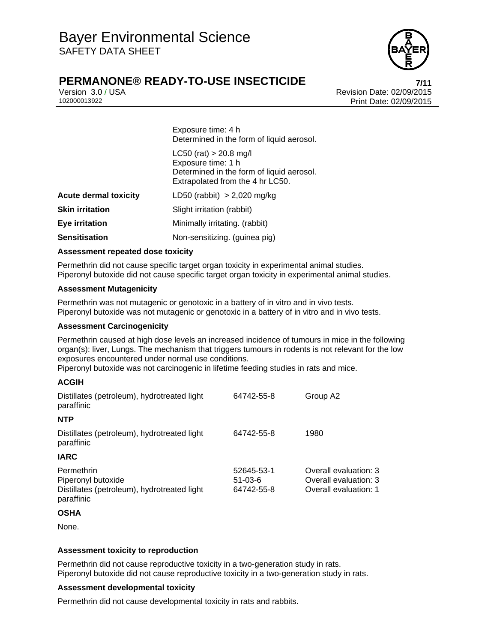

## **PERMANONE® READY-TO-USE INSECTICIDE**

Version 3.0 / USA Revision Date: 02/09/2015<br>102000013922<br>Print Date: 02/09/2015 Print Date: 02/09/2015

> Exposure time: 4 h Determined in the form of liquid aerosol.

 $LC50$  (rat)  $> 20.8$  mg/l Exposure time: 1 h Determined in the form of liquid aerosol. Extrapolated from the 4 hr LC50.

| <b>Acute dermal toxicity</b> | LD50 (rabbit) $> 2,020$ mg/kg  |  |
|------------------------------|--------------------------------|--|
| <b>Skin irritation</b>       | Slight irritation (rabbit)     |  |
| Eye irritation               | Minimally irritating. (rabbit) |  |
| Sensitisation                | Non-sensitizing. (guinea pig)  |  |

#### **Assessment repeated dose toxicity**

Permethrin did not cause specific target organ toxicity in experimental animal studies. Piperonyl butoxide did not cause specific target organ toxicity in experimental animal studies.

#### **Assessment Mutagenicity**

Permethrin was not mutagenic or genotoxic in a battery of in vitro and in vivo tests. Piperonyl butoxide was not mutagenic or genotoxic in a battery of in vitro and in vivo tests.

#### **Assessment Carcinogenicity**

Permethrin caused at high dose levels an increased incidence of tumours in mice in the following organ(s): liver, Lungs. The mechanism that triggers tumours in rodents is not relevant for the low exposures encountered under normal use conditions.

Piperonyl butoxide was not carcinogenic in lifetime feeding studies in rats and mice.

#### **ACGIH**

| Distillates (petroleum), hydrotreated light<br>paraffinic                                     | 64742-55-8                            | Group A2                                                                |
|-----------------------------------------------------------------------------------------------|---------------------------------------|-------------------------------------------------------------------------|
| <b>NTP</b>                                                                                    |                                       |                                                                         |
| Distillates (petroleum), hydrotreated light<br>paraffinic                                     | 64742-55-8                            | 1980                                                                    |
| <b>IARC</b>                                                                                   |                                       |                                                                         |
| Permethrin<br>Piperonyl butoxide<br>Distillates (petroleum), hydrotreated light<br>paraffinic | 52645-53-1<br>$51-03-6$<br>64742-55-8 | Overall evaluation: 3<br>Overall evaluation: 3<br>Overall evaluation: 1 |

#### **OSHA**

None.

#### **Assessment toxicity to reproduction**

Permethrin did not cause reproductive toxicity in a two-generation study in rats. Piperonyl butoxide did not cause reproductive toxicity in a two-generation study in rats.

#### **Assessment developmental toxicity**

Permethrin did not cause developmental toxicity in rats and rabbits.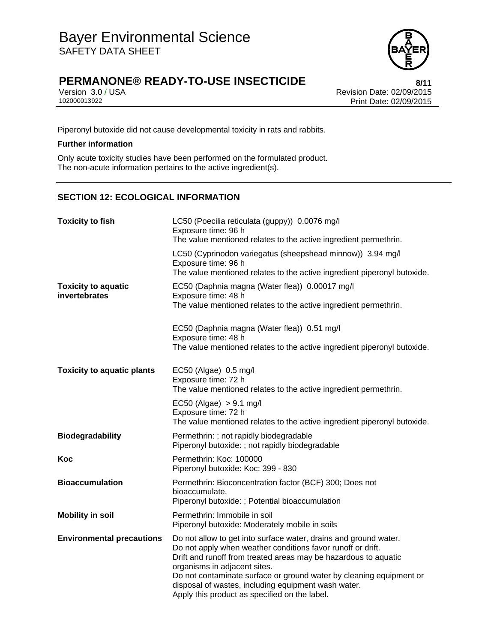

Version 3.0 / USA Revision Date: 02/09/2015<br>102000013922 Print Date: 02/09/2015 Print Date: 02/09/2015

Piperonyl butoxide did not cause developmental toxicity in rats and rabbits.

#### **Further information**

Only acute toxicity studies have been performed on the formulated product. The non-acute information pertains to the active ingredient(s).

## **SECTION 12: ECOLOGICAL INFORMATION**

| <b>Toxicity to fish</b>                     | LC50 (Poecilia reticulata (guppy)) 0.0076 mg/l<br>Exposure time: 96 h<br>The value mentioned relates to the active ingredient permethrin.                                                                                                                                                                                                                                                                         |
|---------------------------------------------|-------------------------------------------------------------------------------------------------------------------------------------------------------------------------------------------------------------------------------------------------------------------------------------------------------------------------------------------------------------------------------------------------------------------|
|                                             | LC50 (Cyprinodon variegatus (sheepshead minnow)) 3.94 mg/l<br>Exposure time: 96 h<br>The value mentioned relates to the active ingredient piperonyl butoxide.                                                                                                                                                                                                                                                     |
| <b>Toxicity to aquatic</b><br>invertebrates | EC50 (Daphnia magna (Water flea)) 0.00017 mg/l<br>Exposure time: 48 h<br>The value mentioned relates to the active ingredient permethrin.                                                                                                                                                                                                                                                                         |
|                                             | EC50 (Daphnia magna (Water flea)) 0.51 mg/l<br>Exposure time: 48 h<br>The value mentioned relates to the active ingredient piperonyl butoxide.                                                                                                                                                                                                                                                                    |
| <b>Toxicity to aquatic plants</b>           | EC50 (Algae) 0.5 mg/l<br>Exposure time: 72 h<br>The value mentioned relates to the active ingredient permethrin.                                                                                                                                                                                                                                                                                                  |
|                                             | $EC50$ (Algae) $> 9.1$ mg/l<br>Exposure time: 72 h<br>The value mentioned relates to the active ingredient piperonyl butoxide.                                                                                                                                                                                                                                                                                    |
| <b>Biodegradability</b>                     | Permethrin: ; not rapidly biodegradable<br>Piperonyl butoxide: ; not rapidly biodegradable                                                                                                                                                                                                                                                                                                                        |
| Koc                                         | Permethrin: Koc: 100000<br>Piperonyl butoxide: Koc: 399 - 830                                                                                                                                                                                                                                                                                                                                                     |
| <b>Bioaccumulation</b>                      | Permethrin: Bioconcentration factor (BCF) 300; Does not<br>bioaccumulate.<br>Piperonyl butoxide: ; Potential bioaccumulation                                                                                                                                                                                                                                                                                      |
| <b>Mobility in soil</b>                     | Permethrin: Immobile in soil<br>Piperonyl butoxide: Moderately mobile in soils                                                                                                                                                                                                                                                                                                                                    |
| <b>Environmental precautions</b>            | Do not allow to get into surface water, drains and ground water.<br>Do not apply when weather conditions favor runoff or drift.<br>Drift and runoff from treated areas may be hazardous to aquatic<br>organisms in adjacent sites.<br>Do not contaminate surface or ground water by cleaning equipment or<br>disposal of wastes, including equipment wash water.<br>Apply this product as specified on the label. |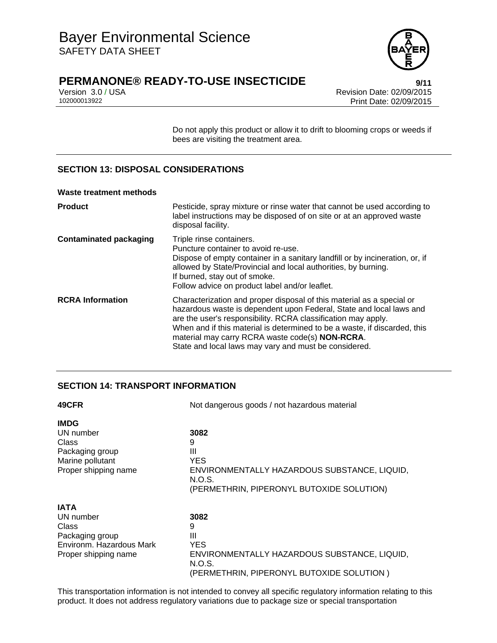

Version 3.0 / USA Revision Date: 02/09/2015<br>102000013922 Print Date: 02/09/2015 Print Date: 02/09/2015

> Do not apply this product or allow it to drift to blooming crops or weeds if bees are visiting the treatment area.

## **SECTION 13: DISPOSAL CONSIDERATIONS**

#### **Waste treatment methods**

| <b>Product</b>                | Pesticide, spray mixture or rinse water that cannot be used according to<br>label instructions may be disposed of on site or at an approved waste<br>disposal facility.                                                                                                                                                                                                                                |
|-------------------------------|--------------------------------------------------------------------------------------------------------------------------------------------------------------------------------------------------------------------------------------------------------------------------------------------------------------------------------------------------------------------------------------------------------|
| <b>Contaminated packaging</b> | Triple rinse containers.<br>Puncture container to avoid re-use.<br>Dispose of empty container in a sanitary landfill or by incineration, or, if<br>allowed by State/Provincial and local authorities, by burning.<br>If burned, stay out of smoke.<br>Follow advice on product label and/or leaflet.                                                                                                   |
| <b>RCRA Information</b>       | Characterization and proper disposal of this material as a special or<br>hazardous waste is dependent upon Federal, State and local laws and<br>are the user's responsibility. RCRA classification may apply.<br>When and if this material is determined to be a waste, if discarded, this<br>material may carry RCRA waste code(s) NON-RCRA.<br>State and local laws may vary and must be considered. |

## **SECTION 14: TRANSPORT INFORMATION**

| 49CFR                    | Not dangerous goods / not hazardous material           |  |
|--------------------------|--------------------------------------------------------|--|
| <b>IMDG</b>              |                                                        |  |
| UN number                | 3082                                                   |  |
| Class                    | 9                                                      |  |
| Packaging group          | Ш                                                      |  |
| Marine pollutant         | YES                                                    |  |
| Proper shipping name     | ENVIRONMENTALLY HAZARDOUS SUBSTANCE, LIQUID,           |  |
|                          | N.O.S.                                                 |  |
|                          | (PERMETHRIN, PIPERONYL BUTOXIDE SOLUTION)              |  |
| <b>IATA</b>              |                                                        |  |
| UN number                | 3082                                                   |  |
| Class                    | 9                                                      |  |
| Packaging group          | Ш                                                      |  |
| Environm. Hazardous Mark | <b>YES</b>                                             |  |
| Proper shipping name     | ENVIRONMENTALLY HAZARDOUS SUBSTANCE, LIQUID,<br>N.O.S. |  |
|                          | (PERMETHRIN, PIPERONYL BUTOXIDE SOLUTION)              |  |

This transportation information is not intended to convey all specific regulatory information relating to this product. It does not address regulatory variations due to package size or special transportation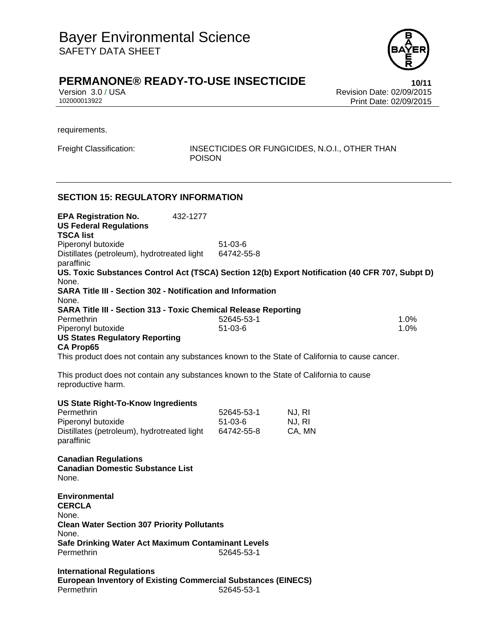

## **PERMANONE® READY-TO-USE INSECTICIDE 10/11**

Version 3.0 / USA Revision Date: 02/09/2015 102000013922 Print Date: 02/09/2015

requirements.

Freight Classification: INSECTICIDES OR FUNGICIDES, N.O.I., OTHER THAN POISON

#### **SECTION 15: REGULATORY INFORMATION**

**EPA Registration No.** 432-1277 **US Federal Regulations TSCA list** Piperonyl butoxide 51-03-6 Distillates (petroleum), hydrotreated light paraffinic 64742-55-8 **US. Toxic Substances Control Act (TSCA) Section 12(b) Export Notification (40 CFR 707, Subpt D)** None. **SARA Title III - Section 302 - Notification and Information** None. **SARA Title III - Section 313 - Toxic Chemical Release Reporting** Permethrin 1.0% Piperonyl butoxide and the state of the 51-03-6 1.0% and the state of the state of the state of the state of the state of the state of the state of the state of the state of the state of the state of the state of the state **US States Regulatory Reporting CA Prop65** This product does not contain any substances known to the State of California to cause cancer. This product does not contain any substances known to the State of California to cause reproductive harm. **US State Right-To-Know Ingredients** Permethrin 52645-53-1 NJ, RI Piperonyl butoxide 51-03-6 NJ, RI Distillates (petroleum), hydrotreated light 64742-55-8 CA, MN paraffinic **Canadian Regulations Canadian Domestic Substance List**  None. **Environmental CERCLA**  None. **Clean Water Section 307 Priority Pollutants**  None. **Safe Drinking Water Act Maximum Contaminant Levels**  Permethrin 52645-53-1 **International Regulations European Inventory of Existing Commercial Substances (EINECS)**  Permethrin 52645-53-1